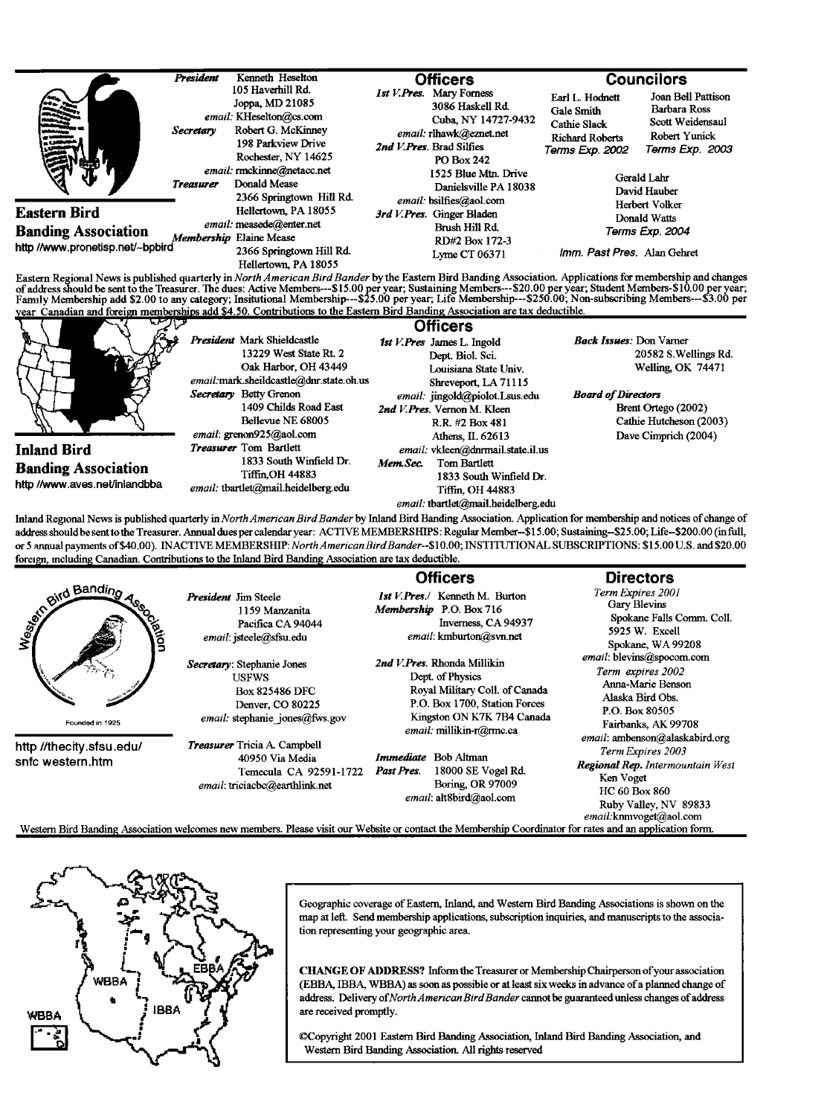|                                                                                                                     | President        | Kenneth Heselton<br>105 Haverhill Rd.                                                                                                                                                                                                                                                                                      | <b>Officers</b>                                                                                                                                                                                                                                                                                                |                                                                                            | <b>Councilors</b>                                                                          |
|---------------------------------------------------------------------------------------------------------------------|------------------|----------------------------------------------------------------------------------------------------------------------------------------------------------------------------------------------------------------------------------------------------------------------------------------------------------------------------|----------------------------------------------------------------------------------------------------------------------------------------------------------------------------------------------------------------------------------------------------------------------------------------------------------------|--------------------------------------------------------------------------------------------|--------------------------------------------------------------------------------------------|
| $\frac{1}{\sqrt{2}}$<br>81 y<br>Æ<br>Eastern Bird<br><b>Banding Association</b><br>http://www.pronetisp.net/~bpbird | <b>Secretary</b> | Joppa, MD 21085<br>email: KHeselton@cs.com<br>Robert G. McKinney<br>198 Parkview Drive<br>Rochester, NY 14625<br>email: rmckinne@netacc.net<br>Donald Mease<br>2366 Springtown Hill Rd.<br>Hellertown, PA 18055<br>email: measede@enter.net<br>Membership Elaine Mease<br>2366 Springtown Hill Rd.<br>Hellertown, PA 18055 | 1st V.Pres. Mary Forness<br>3086 Haskell Rd.<br>Cuba, NY 14727-9432<br>email: rlhawk@eznet.net<br>2nd V. Pres. Brad Silfies<br><b>PO Box 242</b><br>1525 Blue Mtn. Drive<br>Danielsville PA 18038<br>email: bsilfies@aol.com<br>3rd V.Pres. Ginger Bladen<br>Brush Hill Rd.<br>RD#2 Box 172-3<br>Lyme CT 06371 | Earl L. Hodnett<br>Gale Smith<br>Cathie Slack<br><b>Richard Roberts</b><br>Terms Exp. 2002 | Joan Bell Pattison<br>Barbara Ross<br>Scott Weidensaul<br>Robert Yunick<br>Terms Exp. 2003 |
|                                                                                                                     | <b>Treasurer</b> |                                                                                                                                                                                                                                                                                                                            |                                                                                                                                                                                                                                                                                                                | Gerald Lahr<br>David Hauber<br>Herbert Volker<br>Donald Watts<br>Terms Exp. 2004           |                                                                                            |
|                                                                                                                     |                  |                                                                                                                                                                                                                                                                                                                            |                                                                                                                                                                                                                                                                                                                |                                                                                            |                                                                                            |
|                                                                                                                     |                  |                                                                                                                                                                                                                                                                                                                            |                                                                                                                                                                                                                                                                                                                | Imm. Past Pres. Alan Gehret                                                                |                                                                                            |

Eastern Regional News is published quarterly in *North American Bird Bander* by the Eastern Bird Banding Association. Applications for membership and changes<br>of address should be sent to the Treasurer. The dues: Active Mem

| ਦਾਸਤ                          |                                         | <b>Officers</b>                     |                                |
|-------------------------------|-----------------------------------------|-------------------------------------|--------------------------------|
|                               | President Mark Shieldcastle             | 1st V. Pres James L. Ingold         | <b>Back Issues: Don Varner</b> |
|                               | 13229 West State Rt. 2                  | Dept. Biol. Sci.                    | 20582 S. Wellings Rd.          |
|                               | Oak Harbor, OH 43449                    | Louisiana State Univ.               | <b>Welling, OK 74471</b>       |
|                               | email:mark.sheildcastle@dnr.state.oh.us | Shreveport, LA 71115                |                                |
|                               | Secretary Betty Grenon                  | email: jingold@piolot.Lsus.edu      | <b>Board of Directors</b>      |
|                               | 1409 Childs Road East                   | 2nd V. Pres. Vernon M. Kleen        | Brent Ortego (2002)            |
|                               | Bellevue NE 68005                       | R.R. #2 Box 481                     | Cathie Hutcheson (2003)        |
|                               | email: grenon925@aol.com                | Athens, IL 62613                    | Dave Cimprich (2004)           |
| <b>Inland Bird</b>            | Treasurer Tom Bartlett                  | email: vkleen@dnrmail.state.il.us   |                                |
| <b>Banding Association</b>    | 1833 South Winfield Dr.                 | Mem.Sec.<br>Tom Bartlett            |                                |
| http //www.aves.net/inlandbba | Tiffin.OH 44883                         | 1833 South Winfield Dr.             |                                |
|                               | email: tbartlet@mail.heidelberg.edu     | Tiffin, OH 44883                    |                                |
|                               |                                         | email: tbartlet@mail.heidelberg.edu |                                |

Inland Regional News is published quarterly in North American Bird Bander by Inland Bird Banding Association. Application for membership and notices of change of **address should be sentothe Treasurer. Annual dues per calendar year: ACTIVE MEMBERSHIPS: Regular Member--S15.00; Sustaining-S25.00; Life--S200.00 (in full, or 5 annual payments of \$40.00). INACTIVE MEMBERSHIP:NorthAmericanBirdBander--\$10.00; INSTITUTIONAL SUBSCRIPTIONS: \$15.00 U.S. and \$20.00**  foreign, including Canadian. Contributions to the Inland Bird Banding Association are tax deductible.

|                                              |                                                                                                                           | <b>Officers</b>                                                                                                                                                              | <b>Directors</b>                                                                                                                                                                                                                                                                                             |  |
|----------------------------------------------|---------------------------------------------------------------------------------------------------------------------------|------------------------------------------------------------------------------------------------------------------------------------------------------------------------------|--------------------------------------------------------------------------------------------------------------------------------------------------------------------------------------------------------------------------------------------------------------------------------------------------------------|--|
| und Banding<br>ciation<br>Founded in 1925    | <b>President Jim Steele</b><br>1159 Manzanita<br>Pacifica CA 94044<br>email: jsteele@sfsu.edu                             | 1st V.Pres./ Kenneth M. Burton<br>Membership P.O. Box 716<br>Inverness, CA 94937<br>email: kmburton@svn.net                                                                  | Term Expires 2001<br>Gary Blevins<br>Spokane Falls Comm. Coll.<br>5925 W. Excell<br>Spokane, WA 99208                                                                                                                                                                                                        |  |
|                                              | Secretary: Stephanie Jones<br><b>USFWS</b><br><b>Box 825486 DFC</b><br>Denver, CO 80225<br>email: stephanie jones@fws.gov | 2nd V.Pres. Rhonda Millikin<br>Dept. of Physics<br>Royal Military Coll. of Canada<br>P.O. Box 1700, Station Forces<br>Kingston ON K7K 7B4 Canada<br>email: millikin-r@rmc.ca | email: blevins@spocom.com<br>Term expires 2002<br>Anna-Marie Benson<br>Alaska Bird Obs.<br>P.O. Box 80505<br>Fairbanks, AK 99708<br>email: ambenson@alaskabird.org<br>Term Expires 2003<br>Regional Rep. Intermountain West<br>Ken Voget<br>HC 60 Box 860<br>Ruby Valley, NV 89833<br>email.knmvoget@aol.com |  |
| http //thecity.sfsu.edu/<br>snfc western.htm | <b>Treasurer</b> Tricia A. Campbell<br>40950 Via Media<br>Temecula CA 92591-1722<br>email: triciacbc@earthlink.net        | Immediate Bob Altman<br>18000 SE Vogel Rd.<br>Past Pres.<br>Boring, OR 97009<br>email: alt8bird@aol.com                                                                      |                                                                                                                                                                                                                                                                                                              |  |
|                                              |                                                                                                                           | Western Bird Banding Association welcomes new members. Please visit our Website or contact the Membership Coordinator for rates and an application form.                     |                                                                                                                                                                                                                                                                                                              |  |



Geographic coverage of Eastern, Inland, and Western Bird Banding Associations is shown on the **map at left. Send membership applications, subscription inquiries, and manuscripts tothe association representing your geographic area.** 

**CHANGE OF ADDRESS? Inform the Treasurer or Membership Chairperson ofyour association (EBBA, IBBA, WBBA) as soon as possible or at least six weeks in advance of a planned change of**  address. Delivery of North American Bird Bander cannot be guaranteed unless changes of address **are received promptly.** 

**•2opyright 2001 Eastern Bird Banding Association, Inland Bird Banding Association, and Western Bird Banding Association, All rights reserved**